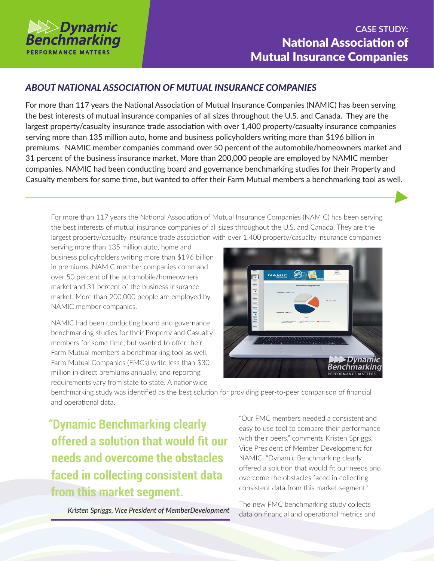

## **CASE STUDY:** National Association of Mutual Insurance Companies

## *ABOUT NATIONAL ASSOCIATION OF MUTUAL INSURANCE COMPANIES*

For more than 117 years the National Association of Mutual Insurance Companies (NAMIC) has been serving the best interests of mutual insurance companies of all sizes throughout the U.S. and Canada. They are the largest property/casualty insurance trade association with over 1,400 property/casualty insurance companies serving more than 135 million auto, home and business policyholders writing more than \$196 billion in premiums. NAMIC member companies command over 50 percent of the automobile/homeowners market and 31 percent of the business insurance market. More than 200,000 people are employed by NAMIC member companies. NAMIC had been conducting board and governance benchmarking studies for their Property and Casualty members for some time, but wanted to offer their Farm Mutual members a benchmarking tool as well.

For more than 117 years the National Association of Mutual Insurance Companies (NAMIC) has been serving the best interests of mutual insurance companies of all sizes throughout the U.S. and Canada. They are the largest property/casualty insurance trade association with over 1,400 property/casualty insurance companies

serving more than 135 million auto, home and business policyholders writing more than \$196 billion in premiums. NAMIC member companies command over 50 percent of the automobile/homeowners market and 31 percent of the business insurance market. More than 200,000 people are employed by NAMIC member companies.

NAMIC had been conducting board and governance benchmarking studies for their Property and Casualty members for some time, but wanted to offer their Farm Mutual members a benchmarking tool as well. Farm Mutual Companies (FMCs) write less than \$30 million in direct premiums annually, and reporting requirements vary from state to state. A nationwide



benchmarking study was identified as the best solution for providing peer-to-peer comparison of financial and operational data.

**"Dynamic Benchmarking clearly offered a solution that would fit our needs and overcome the obstacles faced in collecting consistent data from this market segment.**

"Our FMC members needed a consistent and easy to use tool to compare their performance with their peers," comments Kristen Spriggs, Vice President of Member Development for NAMIC. "Dynamic Benchmarking clearly offered a solution that would fit our needs and overcome the obstacles faced in collecting consistent data from this market segment."

*Kristen Spriggs, Vice President of MemberDevelopment*

The new FMC benchmarking study collects data on financial and operational metrics and